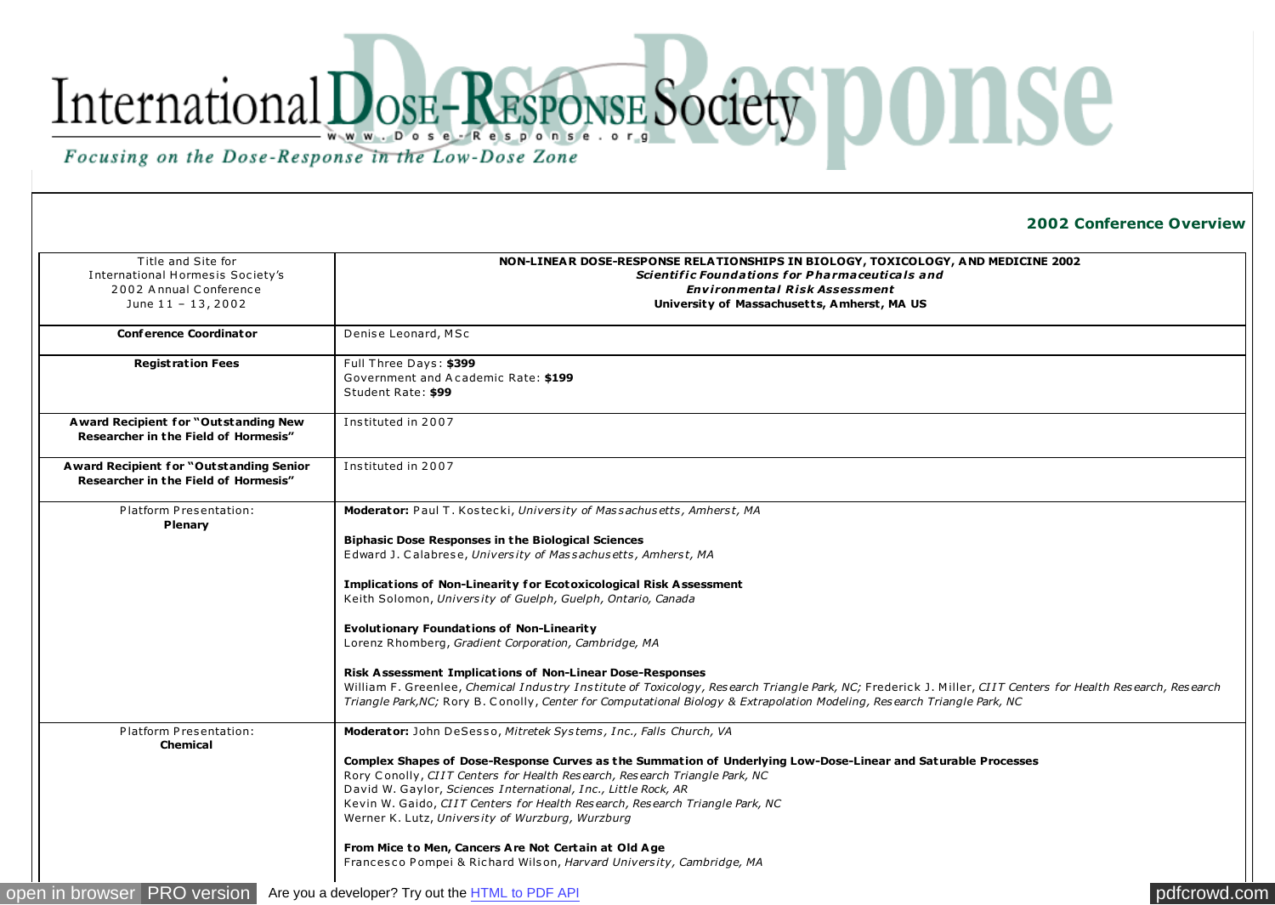## International DosE-RESPONSE Society DONSE Focusing on the Dose-Response in the Low-Dose Zone

**2002 Conference Overview** 

| Title and Site for                                                              | NON-LINEAR DOSE-RESPONSE RELATIONSHIPS IN BIOLOGY, TOXICOLOGY, AND MEDICINE 2002                                                                                                                                                                                                         |
|---------------------------------------------------------------------------------|------------------------------------------------------------------------------------------------------------------------------------------------------------------------------------------------------------------------------------------------------------------------------------------|
| International Hormesis Society's                                                | Scientific Foundations for Pharmaceuticals and                                                                                                                                                                                                                                           |
| 2002 Annual Conference                                                          | <b>Environmental Risk Assessment</b>                                                                                                                                                                                                                                                     |
| June 11 - 13, 2002                                                              | University of Massachusetts, Amherst, MA US                                                                                                                                                                                                                                              |
|                                                                                 |                                                                                                                                                                                                                                                                                          |
| <b>Conference Coordinator</b>                                                   | Denise Leonard, MSc                                                                                                                                                                                                                                                                      |
| <b>Registration Fees</b>                                                        | Full Three Days: \$399                                                                                                                                                                                                                                                                   |
|                                                                                 | Government and Academic Rate: \$199                                                                                                                                                                                                                                                      |
|                                                                                 | Student Rate: \$99                                                                                                                                                                                                                                                                       |
| A ward Recipient for "Outstanding New<br>Researcher in the Field of Hormesis"   | Instituted in 2007                                                                                                                                                                                                                                                                       |
| Award Recipient for "Outstanding Senior<br>Researcher in the Field of Hormesis" | Instituted in 2007                                                                                                                                                                                                                                                                       |
| Platform Presentation:                                                          | Moderator: Paul T. Kostecki, University of Massachusetts, Amherst, MA                                                                                                                                                                                                                    |
| Plenary                                                                         |                                                                                                                                                                                                                                                                                          |
|                                                                                 | <b>Biphasic Dose Responses in the Biological Sciences</b>                                                                                                                                                                                                                                |
|                                                                                 | Edward J. Calabrese, University of Massachusetts, Amherst, MA                                                                                                                                                                                                                            |
|                                                                                 | <b>Implications of Non-Linearity for Ecotoxicological Risk Assessment</b>                                                                                                                                                                                                                |
|                                                                                 | Keith Solomon, University of Guelph, Guelph, Ontario, Canada                                                                                                                                                                                                                             |
|                                                                                 |                                                                                                                                                                                                                                                                                          |
|                                                                                 | <b>Evolutionary Foundations of Non-Linearity</b>                                                                                                                                                                                                                                         |
|                                                                                 | Lorenz Rhomberg, Gradient Corporation, Cambridge, MA                                                                                                                                                                                                                                     |
|                                                                                 | Risk Assessment Implications of Non-Linear Dose-Responses                                                                                                                                                                                                                                |
|                                                                                 | William F. Greenlee, Chemical Industry Institute of Toxicology, Research Triangle Park, NC; Frederick J. Miller, CIIT Centers for Health Research, Research<br>Triangle Park, NC; Rory B. Conolly, Center for Computational Biology & Extrapolation Modeling, Research Triangle Park, NC |
| Platform Presentation:<br><b>Chemical</b>                                       | Moderator: John DeSesso, Mitretek Systems, Inc., Falls Church, VA                                                                                                                                                                                                                        |
|                                                                                 | Complex Shapes of Dose-Response Curves as the Summation of Underlying Low-Dose-Linear and Saturable Processes                                                                                                                                                                            |
|                                                                                 | Rory Conolly, CIIT Centers for Health Research, Research Triangle Park, NC                                                                                                                                                                                                               |
|                                                                                 | David W. Gaylor, Sciences International, Inc., Little Rock, AR                                                                                                                                                                                                                           |
|                                                                                 | Kevin W. Gaido, CIIT Centers for Health Research, Research Triangle Park, NC                                                                                                                                                                                                             |
|                                                                                 | Werner K. Lutz, University of Wurzburg, Wurzburg                                                                                                                                                                                                                                         |
|                                                                                 | From Mice to Men, Cancers Are Not Certain at Old Age                                                                                                                                                                                                                                     |
|                                                                                 | Francesco Pompei & Richard Wilson, Harvard University, Cambridge, MA                                                                                                                                                                                                                     |
|                                                                                 |                                                                                                                                                                                                                                                                                          |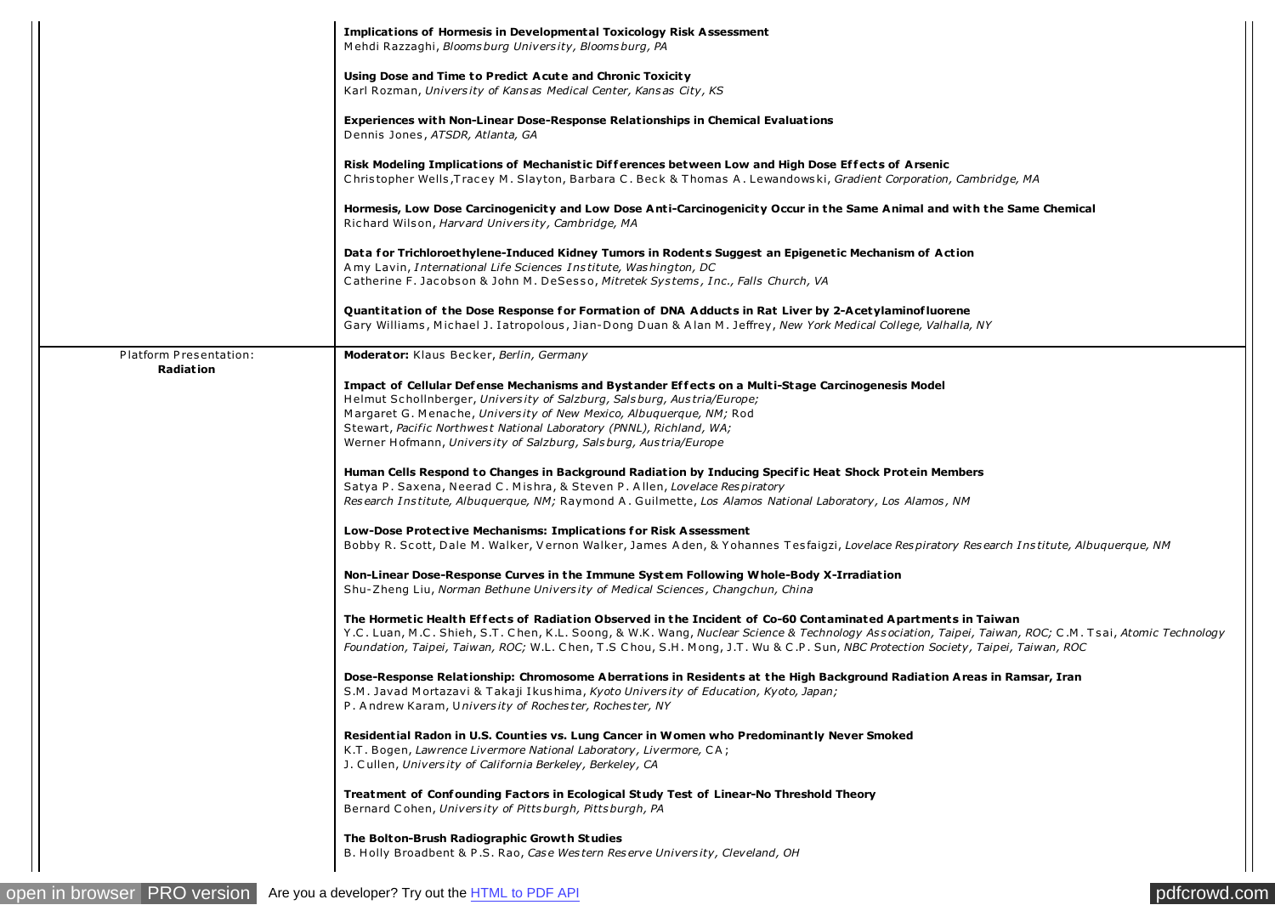|                        | <b>Implications of Hormesis in Developmental Toxicology Risk Assessment</b><br>Mehdi Razzaghi, Bloomsburg University, Bloomsburg, PA                                                                                                                                                                                                                                                                       |
|------------------------|------------------------------------------------------------------------------------------------------------------------------------------------------------------------------------------------------------------------------------------------------------------------------------------------------------------------------------------------------------------------------------------------------------|
|                        | Using Dose and Time to Predict Acute and Chronic Toxicity<br>Karl Rozman, University of Kansas Medical Center, Kansas City, KS                                                                                                                                                                                                                                                                             |
|                        | <b>Experiences with Non-Linear Dose-Response Relationships in Chemical Evaluations</b><br>Dennis Jones, ATSDR, Atlanta, GA                                                                                                                                                                                                                                                                                 |
|                        | Risk Modeling Implications of Mechanistic Differences between Low and High Dose Effects of Arsenic<br>Christopher Wells, Tracey M. Slayton, Barbara C. Beck & Thomas A. Lewandowski, Gradient Corporation, Cambridge, MA                                                                                                                                                                                   |
|                        | Hormesis, Low Dose Carcinogenicity and Low Dose Anti-Carcinogenicity Occur in the Same Animal and with the Same Chemical<br>Richard Wilson, Harvard University, Cambridge, MA                                                                                                                                                                                                                              |
|                        | Data for Trichloroethylene-Induced Kidney Tumors in Rodents Suggest an Epigenetic Mechanism of Action<br>A my Lavin, International Life Sciences Institute, Washington, DC                                                                                                                                                                                                                                 |
|                        | Catherine F. Jacobson & John M. DeSesso, Mitretek Systems, Inc., Falls Church, VA                                                                                                                                                                                                                                                                                                                          |
|                        | Quantitation of the Dose Response for Formation of DNA Adducts in Rat Liver by 2-Acetylaminofluorene<br>Gary Williams, Michael J. Iatropolous, Jian-Dong Duan & Alan M. Jeffrey, New York Medical College, Valhalla, NY                                                                                                                                                                                    |
| Platform Presentation: | Moderator: Klaus Becker, Berlin, Germany                                                                                                                                                                                                                                                                                                                                                                   |
| Radiation              | Impact of Cellular Defense Mechanisms and Bystander Effects on a Multi-Stage Carcinogenesis Model<br>Helmut Schollnberger, University of Salzburg, Salsburg, Austria/Europe;<br>Margaret G. Menache, University of New Mexico, Albuguerque, NM; Rod<br>Stewart, Pacific Northwest National Laboratory (PNNL), Richland, WA;<br>Werner Hofmann, University of Salzburg, Salsburg, Austria/Europe            |
|                        | Human Cells Respond to Changes in Background Radiation by Inducing Specific Heat Shock Protein Members<br>Satya P. Saxena, Neerad C. Mishra, & Steven P. Allen, Lovelace Respiratory<br>Research Institute, Albuquerque, NM; Raymond A. Guilmette, Los Alamos National Laboratory, Los Alamos, NM                                                                                                          |
|                        | Low-Dose Protective Mechanisms: Implications for Risk Assessment<br>Bobby R. Scott, Dale M. Walker, Vernon Walker, James Aden, & Yohannes Tesfaigzi, Lovelace Respiratory Research Institute, Albuquerque, NM                                                                                                                                                                                              |
|                        | Non-Linear Dose-Response Curves in the Immune System Following Whole-Body X-Irradiation<br>Shu-Zheng Liu, Norman Bethune University of Medical Sciences, Changchun, China                                                                                                                                                                                                                                  |
|                        | The Hormetic Health Effects of Radiation Observed in the Incident of Co-60 Contaminated Apartments in Taiwan<br>Y.C. Luan, M.C. Shieh, S.T. Chen, K.L. Soong, & W.K. Wang, Nuclear Science & Technology Association, Taipei, Taiwan, ROC; C.M. Tsai, Atomic Technology<br>Foundation, Taipei, Taiwan, ROC; W.L. Chen, T.S Chou, S.H. Mong, J.T. Wu & C.P. Sun, NBC Protection Society, Taipei, Taiwan, ROC |
|                        | Dose-Response Relationship: Chromosome Aberrations in Residents at the High Background Radiation Areas in Ramsar, Iran<br>S.M. Javad Mortazavi & Takaji Ikushima, Kyoto University of Education, Kyoto, Japan;<br>P. Andrew Karam, University of Rochester, Rochester, NY                                                                                                                                  |
|                        | Residential Radon in U.S. Counties vs. Lung Cancer in Women who Predominantly Never Smoked<br>K.T. Bogen, Lawrence Livermore National Laboratory, Livermore, CA;<br>J. Cullen, University of California Berkeley, Berkeley, CA                                                                                                                                                                             |
|                        | Treatment of Confounding Factors in Ecological Study Test of Linear-No Threshold Theory<br>Bernard Cohen, University of Pittsburgh, Pittsburgh, PA                                                                                                                                                                                                                                                         |
|                        | The Bolton-Brush Radiographic Growth Studies<br>B. Holly Broadbent & P.S. Rao, Case Western Reserve University, Cleveland, OH                                                                                                                                                                                                                                                                              |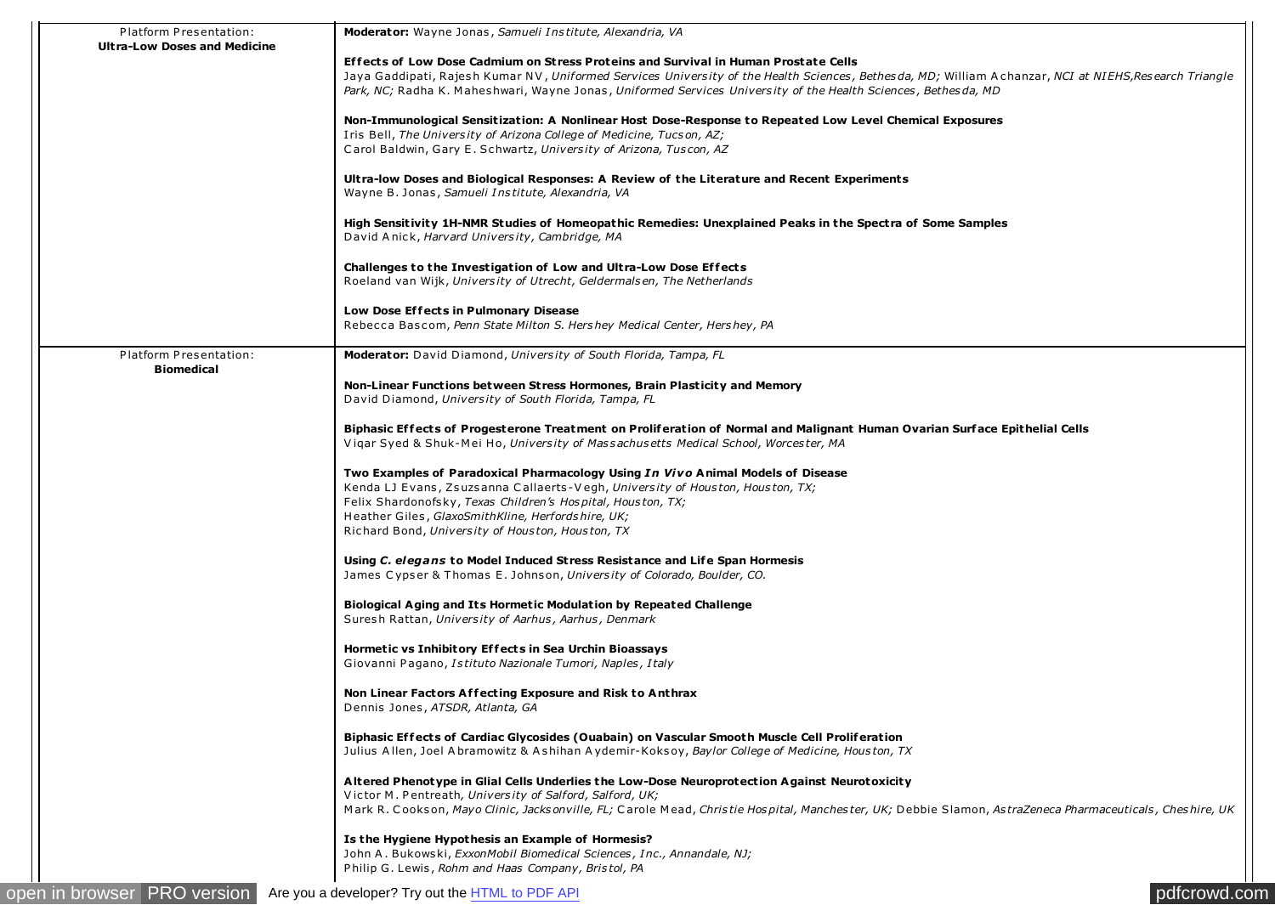| Platform Presentation:<br><b>Ultra-Low Doses and Medicine</b> | <b>Moderator:</b> Wayne Jonas, Samueli Institute, Alexandria, VA                                                                                         |
|---------------------------------------------------------------|----------------------------------------------------------------------------------------------------------------------------------------------------------|
|                                                               | Effects of Low Dose Cadmium on Stress Proteins and Survival in Human Prostate Cells                                                                      |
|                                                               | Jaya Gaddipati, Rajesh Kumar NV, Uniformed Services University of the Health Sciences, Bethesda, MD; William Achanzar, NCI at NIEHS, Research Triangle   |
|                                                               | Park, NC; Radha K. Maheshwari, Wayne Jonas, Uniformed Services University of the Health Sciences, Bethesda, MD                                           |
|                                                               | Non-Immunological Sensitization: A Nonlinear Host Dose-Response to Repeated Low Level Chemical Exposures                                                 |
|                                                               | Iris Bell, The University of Arizona College of Medicine, Tucson, AZ;                                                                                    |
|                                                               | Carol Baldwin, Gary E. Schwartz, University of Arizona, Tuscon, AZ                                                                                       |
|                                                               | Ultra-low Doses and Biological Responses: A Review of the Literature and Recent Experiments                                                              |
|                                                               | Wayne B. Jonas, Samueli Institute, Alexandria, VA                                                                                                        |
|                                                               | High Sensitivity 1H-NMR Studies of Homeopathic Remedies: Unexplained Peaks in the Spectra of Some Samples                                                |
|                                                               | David Anick, Harvard University, Cambridge, MA                                                                                                           |
|                                                               | Challenges to the Investigation of Low and Ultra-Low Dose Effects                                                                                        |
|                                                               | Roeland van Wijk, University of Utrecht, Geldermalsen, The Netherlands                                                                                   |
|                                                               | Low Dose Effects in Pulmonary Disease                                                                                                                    |
|                                                               | Rebecca Bascom, Penn State Milton S. Hershey Medical Center, Hershey, PA                                                                                 |
| Platform Presentation:<br><b>Biomedical</b>                   | <b>Moderator:</b> David Diamond, University of South Florida, Tampa, FL                                                                                  |
|                                                               | Non-Linear Functions between Stress Hormones, Brain Plasticity and Memory                                                                                |
|                                                               | David Diamond, University of South Florida, Tampa, FL                                                                                                    |
|                                                               | Biphasic Effects of Progesterone Treatment on Proliferation of Normal and Malignant Human Ovarian Surface Epithelial Cells                               |
|                                                               | Vigar Syed & Shuk-Mei Ho, University of Massachusetts Medical School, Worcester, MA                                                                      |
|                                                               | Two Examples of Paradoxical Pharmacology Using In Vivo Animal Models of Disease                                                                          |
|                                                               | Kenda LJ Evans, Zsuzsanna Callaerts-Vegh, University of Houston, Houston, TX;                                                                            |
|                                                               | Felix Shardonofsky, Texas Children's Hospital, Houston, TX;                                                                                              |
|                                                               | Heather Giles, GlaxoSmithKline, Herfordshire, UK;                                                                                                        |
|                                                               | Richard Bond, University of Houston, Houston, TX                                                                                                         |
|                                                               | Using C. elegans to Model Induced Stress Resistance and Life Span Hormesis                                                                               |
|                                                               | James Cypser & Thomas E. Johnson, University of Colorado, Boulder, CO.                                                                                   |
|                                                               | Biological Aging and Its Hormetic Modulation by Repeated Challenge                                                                                       |
|                                                               | Suresh Rattan, University of Aarhus, Aarhus, Denmark                                                                                                     |
|                                                               | Hormetic vs Inhibitory Effects in Sea Urchin Bioassays                                                                                                   |
|                                                               | Giovanni Pagano, Istituto Nazionale Tumori, Naples, Italy                                                                                                |
|                                                               | Non Linear Factors Affecting Exposure and Risk to Anthrax                                                                                                |
|                                                               | Dennis Jones, ATSDR, Atlanta, GA                                                                                                                         |
|                                                               | Biphasic Effects of Cardiac Glycosides (Ouabain) on Vascular Smooth Muscle Cell Proliferation                                                            |
|                                                               | Julius Allen, Joel Abramowitz & Ashihan Aydemir-Koksoy, Baylor College of Medicine, Houston, TX                                                          |
|                                                               | Altered Phenotype in Glial Cells Underlies the Low-Dose Neuroprotection Against Neurotoxicity                                                            |
|                                                               | Victor M. Pentreath, University of Salford, Salford, UK;                                                                                                 |
|                                                               | Mark R. Cookson, Mayo Clinic, Jacksonville, FL; Carole Mead, Christie Hospital, Manchester, UK; Debbie Slamon, AstraZeneca Pharmaceuticals, Cheshire, UK |
|                                                               | Is the Hygiene Hypothesis an Example of Hormesis?                                                                                                        |
|                                                               | John A. Bukowski, ExxonMobil Biomedical Sciences, Inc., Annandale, NJ;<br>Philip G. Lewis, Rohm and Haas Company, Bristol, PA                            |
| <b>PRO</b> version<br>in browser                              | pdfcrowd.com<br>Are you a developer? Try out the HTML to PDF API                                                                                         |
|                                                               |                                                                                                                                                          |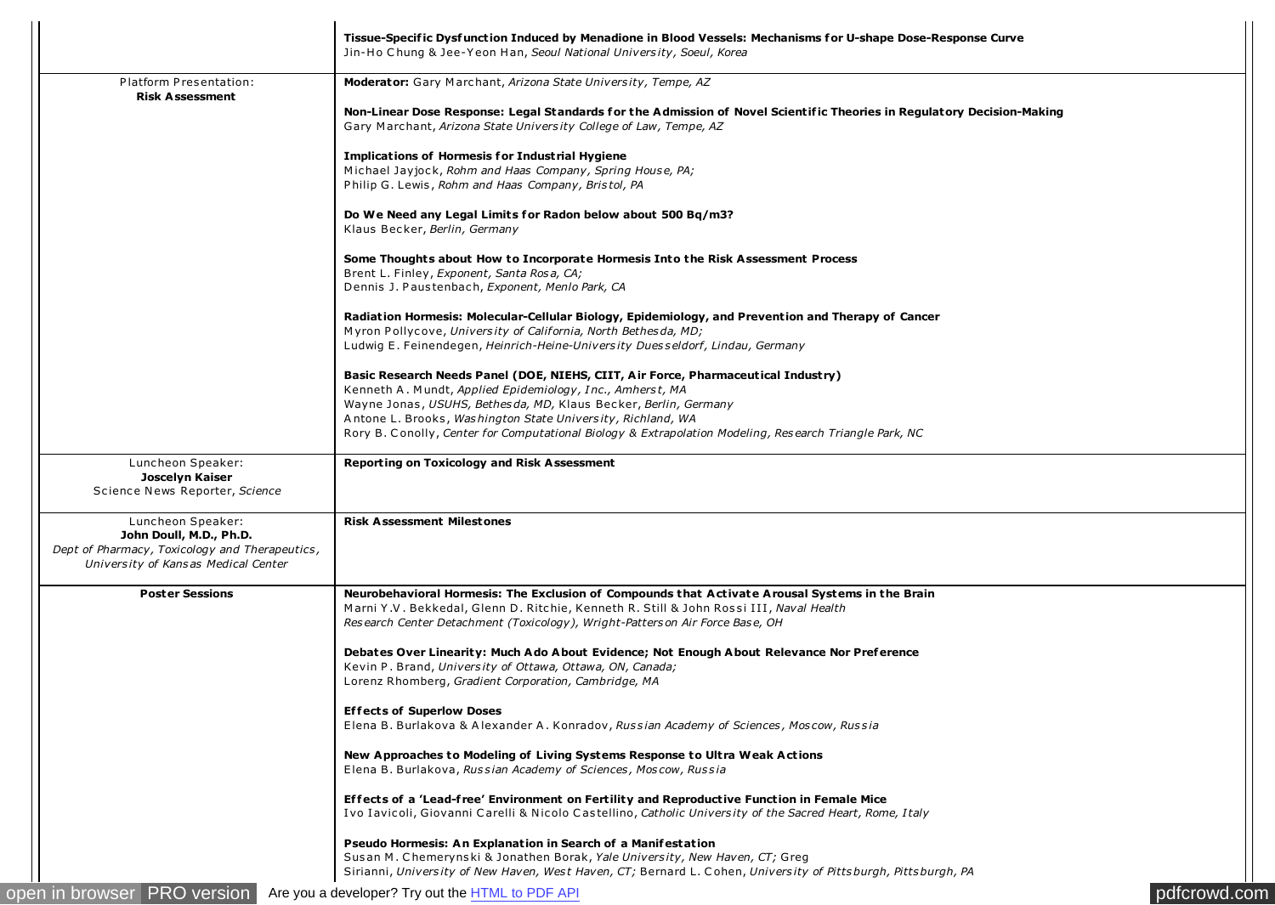| Platform Presentation:<br>Moderator: Gary Marchant, Arizona State University, Tempe, AZ<br><b>Risk Assessment</b><br>Non-Linear Dose Response: Legal Standards for the Admission of Novel Scientific Theories in Regulatory Decision-Making<br>Gary Marchant, Arizona State University College of Law, Tempe, AZ<br><b>Implications of Hormesis for Industrial Hygiene</b><br>Michael Jayjock, Rohm and Haas Company, Spring House, PA;<br>Philip G. Lewis, Rohm and Haas Company, Bristol, PA<br>Do We Need any Legal Limits for Radon below about 500 Bq/m3?<br>Klaus Becker, Berlin, Germany<br>Some Thoughts about How to Incorporate Hormesis Into the Risk Assessment Process<br>Brent L. Finley, Exponent, Santa Rosa, CA;<br>Dennis J. Paustenbach, Exponent, Menlo Park, CA<br>Radiation Hormesis: Molecular-Cellular Biology, Epidemiology, and Prevention and Therapy of Cancer<br>Myron Pollycove, University of California, North Bethesda, MD;<br>Ludwig E. Feinendegen, Heinrich-Heine-University Duesseldorf, Lindau, Germany<br>Basic Research Needs Panel (DOE, NIEHS, CIIT, Air Force, Pharmaceutical Industry)<br>Kenneth A. Mundt, Applied Epidemiology, Inc., Amherst, MA<br>Wayne Jonas, USUHS, Bethesda, MD, Klaus Becker, Berlin, Germany<br>Antone L. Brooks, Washington State University, Richland, WA<br>Rory B. Conolly, Center for Computational Biology & Extrapolation Modeling, Research Triangle Park, NC<br>Luncheon Speaker:<br><b>Reporting on Toxicology and Risk Assessment</b><br>Joscelyn Kaiser<br>Science News Reporter, Science<br><b>Risk Assessment Milestones</b><br>Luncheon Speaker:<br>John Doull, M.D., Ph.D.<br>Dept of Pharmacy, Toxicology and Therapeutics,<br>University of Kansas Medical Center<br><b>Poster Sessions</b><br>Neurobehavioral Hormesis: The Exclusion of Compounds that Activate Arousal Systems in the Brain<br>Marni Y.V. Bekkedal, Glenn D. Ritchie, Kenneth R. Still & John Rossi III, Naval Health<br>Research Center Detachment (Toxicology), Wright-Patters on Air Force Base, OH<br>Debates Over Linearity: Much Ado About Evidence; Not Enough About Relevance Nor Preference<br>Kevin P. Brand, University of Ottawa, Ottawa, ON, Canada;<br>Lorenz Rhomberg, Gradient Corporation, Cambridge, MA<br><b>Effects of Superlow Doses</b><br>Elena B. Burlakova & Alexander A. Konradov, Russian Academy of Sciences, Moscow, Russia<br>New Approaches to Modeling of Living Systems Response to Ultra Weak Actions<br>Elena B. Burlakova, Russian Academy of Sciences, Moscow, Russia<br>Effects of a 'Lead-free' Environment on Fertility and Reproductive Function in Female Mice<br>Ivo Iavicoli, Giovanni Carelli & Nicolo Castellino, Catholic University of the Sacred Heart, Rome, Italy<br><b>Pseudo Hormesis: An Explanation in Search of a Manifestation</b><br>Susan M. Chemerynski & Jonathen Borak, Yale University, New Haven, CT; Greg |  | Jin-Ho Chung & Jee-Yeon Han, Seoul National University, Soeul, Korea |
|---------------------------------------------------------------------------------------------------------------------------------------------------------------------------------------------------------------------------------------------------------------------------------------------------------------------------------------------------------------------------------------------------------------------------------------------------------------------------------------------------------------------------------------------------------------------------------------------------------------------------------------------------------------------------------------------------------------------------------------------------------------------------------------------------------------------------------------------------------------------------------------------------------------------------------------------------------------------------------------------------------------------------------------------------------------------------------------------------------------------------------------------------------------------------------------------------------------------------------------------------------------------------------------------------------------------------------------------------------------------------------------------------------------------------------------------------------------------------------------------------------------------------------------------------------------------------------------------------------------------------------------------------------------------------------------------------------------------------------------------------------------------------------------------------------------------------------------------------------------------------------------------------------------------------------------------------------------------------------------------------------------------------------------------------------------------------------------------------------------------------------------------------------------------------------------------------------------------------------------------------------------------------------------------------------------------------------------------------------------------------------------------------------------------------------------------------------------------------------------------------------------------------------------------------------------------------------------------------------------------------------------------------------------------------------------------------------------------------------------------------------------------------------------------------------------------------------------------------------------------------------------------------------------------------------------|--|----------------------------------------------------------------------|
|                                                                                                                                                                                                                                                                                                                                                                                                                                                                                                                                                                                                                                                                                                                                                                                                                                                                                                                                                                                                                                                                                                                                                                                                                                                                                                                                                                                                                                                                                                                                                                                                                                                                                                                                                                                                                                                                                                                                                                                                                                                                                                                                                                                                                                                                                                                                                                                                                                                                                                                                                                                                                                                                                                                                                                                                                                                                                                                                       |  |                                                                      |
|                                                                                                                                                                                                                                                                                                                                                                                                                                                                                                                                                                                                                                                                                                                                                                                                                                                                                                                                                                                                                                                                                                                                                                                                                                                                                                                                                                                                                                                                                                                                                                                                                                                                                                                                                                                                                                                                                                                                                                                                                                                                                                                                                                                                                                                                                                                                                                                                                                                                                                                                                                                                                                                                                                                                                                                                                                                                                                                                       |  |                                                                      |
|                                                                                                                                                                                                                                                                                                                                                                                                                                                                                                                                                                                                                                                                                                                                                                                                                                                                                                                                                                                                                                                                                                                                                                                                                                                                                                                                                                                                                                                                                                                                                                                                                                                                                                                                                                                                                                                                                                                                                                                                                                                                                                                                                                                                                                                                                                                                                                                                                                                                                                                                                                                                                                                                                                                                                                                                                                                                                                                                       |  |                                                                      |
|                                                                                                                                                                                                                                                                                                                                                                                                                                                                                                                                                                                                                                                                                                                                                                                                                                                                                                                                                                                                                                                                                                                                                                                                                                                                                                                                                                                                                                                                                                                                                                                                                                                                                                                                                                                                                                                                                                                                                                                                                                                                                                                                                                                                                                                                                                                                                                                                                                                                                                                                                                                                                                                                                                                                                                                                                                                                                                                                       |  |                                                                      |
|                                                                                                                                                                                                                                                                                                                                                                                                                                                                                                                                                                                                                                                                                                                                                                                                                                                                                                                                                                                                                                                                                                                                                                                                                                                                                                                                                                                                                                                                                                                                                                                                                                                                                                                                                                                                                                                                                                                                                                                                                                                                                                                                                                                                                                                                                                                                                                                                                                                                                                                                                                                                                                                                                                                                                                                                                                                                                                                                       |  |                                                                      |
|                                                                                                                                                                                                                                                                                                                                                                                                                                                                                                                                                                                                                                                                                                                                                                                                                                                                                                                                                                                                                                                                                                                                                                                                                                                                                                                                                                                                                                                                                                                                                                                                                                                                                                                                                                                                                                                                                                                                                                                                                                                                                                                                                                                                                                                                                                                                                                                                                                                                                                                                                                                                                                                                                                                                                                                                                                                                                                                                       |  |                                                                      |
|                                                                                                                                                                                                                                                                                                                                                                                                                                                                                                                                                                                                                                                                                                                                                                                                                                                                                                                                                                                                                                                                                                                                                                                                                                                                                                                                                                                                                                                                                                                                                                                                                                                                                                                                                                                                                                                                                                                                                                                                                                                                                                                                                                                                                                                                                                                                                                                                                                                                                                                                                                                                                                                                                                                                                                                                                                                                                                                                       |  |                                                                      |
|                                                                                                                                                                                                                                                                                                                                                                                                                                                                                                                                                                                                                                                                                                                                                                                                                                                                                                                                                                                                                                                                                                                                                                                                                                                                                                                                                                                                                                                                                                                                                                                                                                                                                                                                                                                                                                                                                                                                                                                                                                                                                                                                                                                                                                                                                                                                                                                                                                                                                                                                                                                                                                                                                                                                                                                                                                                                                                                                       |  |                                                                      |
|                                                                                                                                                                                                                                                                                                                                                                                                                                                                                                                                                                                                                                                                                                                                                                                                                                                                                                                                                                                                                                                                                                                                                                                                                                                                                                                                                                                                                                                                                                                                                                                                                                                                                                                                                                                                                                                                                                                                                                                                                                                                                                                                                                                                                                                                                                                                                                                                                                                                                                                                                                                                                                                                                                                                                                                                                                                                                                                                       |  |                                                                      |
|                                                                                                                                                                                                                                                                                                                                                                                                                                                                                                                                                                                                                                                                                                                                                                                                                                                                                                                                                                                                                                                                                                                                                                                                                                                                                                                                                                                                                                                                                                                                                                                                                                                                                                                                                                                                                                                                                                                                                                                                                                                                                                                                                                                                                                                                                                                                                                                                                                                                                                                                                                                                                                                                                                                                                                                                                                                                                                                                       |  |                                                                      |
|                                                                                                                                                                                                                                                                                                                                                                                                                                                                                                                                                                                                                                                                                                                                                                                                                                                                                                                                                                                                                                                                                                                                                                                                                                                                                                                                                                                                                                                                                                                                                                                                                                                                                                                                                                                                                                                                                                                                                                                                                                                                                                                                                                                                                                                                                                                                                                                                                                                                                                                                                                                                                                                                                                                                                                                                                                                                                                                                       |  |                                                                      |
|                                                                                                                                                                                                                                                                                                                                                                                                                                                                                                                                                                                                                                                                                                                                                                                                                                                                                                                                                                                                                                                                                                                                                                                                                                                                                                                                                                                                                                                                                                                                                                                                                                                                                                                                                                                                                                                                                                                                                                                                                                                                                                                                                                                                                                                                                                                                                                                                                                                                                                                                                                                                                                                                                                                                                                                                                                                                                                                                       |  |                                                                      |
|                                                                                                                                                                                                                                                                                                                                                                                                                                                                                                                                                                                                                                                                                                                                                                                                                                                                                                                                                                                                                                                                                                                                                                                                                                                                                                                                                                                                                                                                                                                                                                                                                                                                                                                                                                                                                                                                                                                                                                                                                                                                                                                                                                                                                                                                                                                                                                                                                                                                                                                                                                                                                                                                                                                                                                                                                                                                                                                                       |  |                                                                      |
|                                                                                                                                                                                                                                                                                                                                                                                                                                                                                                                                                                                                                                                                                                                                                                                                                                                                                                                                                                                                                                                                                                                                                                                                                                                                                                                                                                                                                                                                                                                                                                                                                                                                                                                                                                                                                                                                                                                                                                                                                                                                                                                                                                                                                                                                                                                                                                                                                                                                                                                                                                                                                                                                                                                                                                                                                                                                                                                                       |  |                                                                      |
|                                                                                                                                                                                                                                                                                                                                                                                                                                                                                                                                                                                                                                                                                                                                                                                                                                                                                                                                                                                                                                                                                                                                                                                                                                                                                                                                                                                                                                                                                                                                                                                                                                                                                                                                                                                                                                                                                                                                                                                                                                                                                                                                                                                                                                                                                                                                                                                                                                                                                                                                                                                                                                                                                                                                                                                                                                                                                                                                       |  |                                                                      |
|                                                                                                                                                                                                                                                                                                                                                                                                                                                                                                                                                                                                                                                                                                                                                                                                                                                                                                                                                                                                                                                                                                                                                                                                                                                                                                                                                                                                                                                                                                                                                                                                                                                                                                                                                                                                                                                                                                                                                                                                                                                                                                                                                                                                                                                                                                                                                                                                                                                                                                                                                                                                                                                                                                                                                                                                                                                                                                                                       |  |                                                                      |
|                                                                                                                                                                                                                                                                                                                                                                                                                                                                                                                                                                                                                                                                                                                                                                                                                                                                                                                                                                                                                                                                                                                                                                                                                                                                                                                                                                                                                                                                                                                                                                                                                                                                                                                                                                                                                                                                                                                                                                                                                                                                                                                                                                                                                                                                                                                                                                                                                                                                                                                                                                                                                                                                                                                                                                                                                                                                                                                                       |  |                                                                      |
|                                                                                                                                                                                                                                                                                                                                                                                                                                                                                                                                                                                                                                                                                                                                                                                                                                                                                                                                                                                                                                                                                                                                                                                                                                                                                                                                                                                                                                                                                                                                                                                                                                                                                                                                                                                                                                                                                                                                                                                                                                                                                                                                                                                                                                                                                                                                                                                                                                                                                                                                                                                                                                                                                                                                                                                                                                                                                                                                       |  |                                                                      |
|                                                                                                                                                                                                                                                                                                                                                                                                                                                                                                                                                                                                                                                                                                                                                                                                                                                                                                                                                                                                                                                                                                                                                                                                                                                                                                                                                                                                                                                                                                                                                                                                                                                                                                                                                                                                                                                                                                                                                                                                                                                                                                                                                                                                                                                                                                                                                                                                                                                                                                                                                                                                                                                                                                                                                                                                                                                                                                                                       |  |                                                                      |
|                                                                                                                                                                                                                                                                                                                                                                                                                                                                                                                                                                                                                                                                                                                                                                                                                                                                                                                                                                                                                                                                                                                                                                                                                                                                                                                                                                                                                                                                                                                                                                                                                                                                                                                                                                                                                                                                                                                                                                                                                                                                                                                                                                                                                                                                                                                                                                                                                                                                                                                                                                                                                                                                                                                                                                                                                                                                                                                                       |  |                                                                      |
|                                                                                                                                                                                                                                                                                                                                                                                                                                                                                                                                                                                                                                                                                                                                                                                                                                                                                                                                                                                                                                                                                                                                                                                                                                                                                                                                                                                                                                                                                                                                                                                                                                                                                                                                                                                                                                                                                                                                                                                                                                                                                                                                                                                                                                                                                                                                                                                                                                                                                                                                                                                                                                                                                                                                                                                                                                                                                                                                       |  |                                                                      |
|                                                                                                                                                                                                                                                                                                                                                                                                                                                                                                                                                                                                                                                                                                                                                                                                                                                                                                                                                                                                                                                                                                                                                                                                                                                                                                                                                                                                                                                                                                                                                                                                                                                                                                                                                                                                                                                                                                                                                                                                                                                                                                                                                                                                                                                                                                                                                                                                                                                                                                                                                                                                                                                                                                                                                                                                                                                                                                                                       |  |                                                                      |
|                                                                                                                                                                                                                                                                                                                                                                                                                                                                                                                                                                                                                                                                                                                                                                                                                                                                                                                                                                                                                                                                                                                                                                                                                                                                                                                                                                                                                                                                                                                                                                                                                                                                                                                                                                                                                                                                                                                                                                                                                                                                                                                                                                                                                                                                                                                                                                                                                                                                                                                                                                                                                                                                                                                                                                                                                                                                                                                                       |  |                                                                      |
|                                                                                                                                                                                                                                                                                                                                                                                                                                                                                                                                                                                                                                                                                                                                                                                                                                                                                                                                                                                                                                                                                                                                                                                                                                                                                                                                                                                                                                                                                                                                                                                                                                                                                                                                                                                                                                                                                                                                                                                                                                                                                                                                                                                                                                                                                                                                                                                                                                                                                                                                                                                                                                                                                                                                                                                                                                                                                                                                       |  |                                                                      |
|                                                                                                                                                                                                                                                                                                                                                                                                                                                                                                                                                                                                                                                                                                                                                                                                                                                                                                                                                                                                                                                                                                                                                                                                                                                                                                                                                                                                                                                                                                                                                                                                                                                                                                                                                                                                                                                                                                                                                                                                                                                                                                                                                                                                                                                                                                                                                                                                                                                                                                                                                                                                                                                                                                                                                                                                                                                                                                                                       |  |                                                                      |
|                                                                                                                                                                                                                                                                                                                                                                                                                                                                                                                                                                                                                                                                                                                                                                                                                                                                                                                                                                                                                                                                                                                                                                                                                                                                                                                                                                                                                                                                                                                                                                                                                                                                                                                                                                                                                                                                                                                                                                                                                                                                                                                                                                                                                                                                                                                                                                                                                                                                                                                                                                                                                                                                                                                                                                                                                                                                                                                                       |  |                                                                      |
|                                                                                                                                                                                                                                                                                                                                                                                                                                                                                                                                                                                                                                                                                                                                                                                                                                                                                                                                                                                                                                                                                                                                                                                                                                                                                                                                                                                                                                                                                                                                                                                                                                                                                                                                                                                                                                                                                                                                                                                                                                                                                                                                                                                                                                                                                                                                                                                                                                                                                                                                                                                                                                                                                                                                                                                                                                                                                                                                       |  |                                                                      |
|                                                                                                                                                                                                                                                                                                                                                                                                                                                                                                                                                                                                                                                                                                                                                                                                                                                                                                                                                                                                                                                                                                                                                                                                                                                                                                                                                                                                                                                                                                                                                                                                                                                                                                                                                                                                                                                                                                                                                                                                                                                                                                                                                                                                                                                                                                                                                                                                                                                                                                                                                                                                                                                                                                                                                                                                                                                                                                                                       |  |                                                                      |
|                                                                                                                                                                                                                                                                                                                                                                                                                                                                                                                                                                                                                                                                                                                                                                                                                                                                                                                                                                                                                                                                                                                                                                                                                                                                                                                                                                                                                                                                                                                                                                                                                                                                                                                                                                                                                                                                                                                                                                                                                                                                                                                                                                                                                                                                                                                                                                                                                                                                                                                                                                                                                                                                                                                                                                                                                                                                                                                                       |  |                                                                      |
|                                                                                                                                                                                                                                                                                                                                                                                                                                                                                                                                                                                                                                                                                                                                                                                                                                                                                                                                                                                                                                                                                                                                                                                                                                                                                                                                                                                                                                                                                                                                                                                                                                                                                                                                                                                                                                                                                                                                                                                                                                                                                                                                                                                                                                                                                                                                                                                                                                                                                                                                                                                                                                                                                                                                                                                                                                                                                                                                       |  |                                                                      |
|                                                                                                                                                                                                                                                                                                                                                                                                                                                                                                                                                                                                                                                                                                                                                                                                                                                                                                                                                                                                                                                                                                                                                                                                                                                                                                                                                                                                                                                                                                                                                                                                                                                                                                                                                                                                                                                                                                                                                                                                                                                                                                                                                                                                                                                                                                                                                                                                                                                                                                                                                                                                                                                                                                                                                                                                                                                                                                                                       |  |                                                                      |
|                                                                                                                                                                                                                                                                                                                                                                                                                                                                                                                                                                                                                                                                                                                                                                                                                                                                                                                                                                                                                                                                                                                                                                                                                                                                                                                                                                                                                                                                                                                                                                                                                                                                                                                                                                                                                                                                                                                                                                                                                                                                                                                                                                                                                                                                                                                                                                                                                                                                                                                                                                                                                                                                                                                                                                                                                                                                                                                                       |  |                                                                      |
|                                                                                                                                                                                                                                                                                                                                                                                                                                                                                                                                                                                                                                                                                                                                                                                                                                                                                                                                                                                                                                                                                                                                                                                                                                                                                                                                                                                                                                                                                                                                                                                                                                                                                                                                                                                                                                                                                                                                                                                                                                                                                                                                                                                                                                                                                                                                                                                                                                                                                                                                                                                                                                                                                                                                                                                                                                                                                                                                       |  |                                                                      |
|                                                                                                                                                                                                                                                                                                                                                                                                                                                                                                                                                                                                                                                                                                                                                                                                                                                                                                                                                                                                                                                                                                                                                                                                                                                                                                                                                                                                                                                                                                                                                                                                                                                                                                                                                                                                                                                                                                                                                                                                                                                                                                                                                                                                                                                                                                                                                                                                                                                                                                                                                                                                                                                                                                                                                                                                                                                                                                                                       |  |                                                                      |
|                                                                                                                                                                                                                                                                                                                                                                                                                                                                                                                                                                                                                                                                                                                                                                                                                                                                                                                                                                                                                                                                                                                                                                                                                                                                                                                                                                                                                                                                                                                                                                                                                                                                                                                                                                                                                                                                                                                                                                                                                                                                                                                                                                                                                                                                                                                                                                                                                                                                                                                                                                                                                                                                                                                                                                                                                                                                                                                                       |  |                                                                      |
|                                                                                                                                                                                                                                                                                                                                                                                                                                                                                                                                                                                                                                                                                                                                                                                                                                                                                                                                                                                                                                                                                                                                                                                                                                                                                                                                                                                                                                                                                                                                                                                                                                                                                                                                                                                                                                                                                                                                                                                                                                                                                                                                                                                                                                                                                                                                                                                                                                                                                                                                                                                                                                                                                                                                                                                                                                                                                                                                       |  |                                                                      |
|                                                                                                                                                                                                                                                                                                                                                                                                                                                                                                                                                                                                                                                                                                                                                                                                                                                                                                                                                                                                                                                                                                                                                                                                                                                                                                                                                                                                                                                                                                                                                                                                                                                                                                                                                                                                                                                                                                                                                                                                                                                                                                                                                                                                                                                                                                                                                                                                                                                                                                                                                                                                                                                                                                                                                                                                                                                                                                                                       |  |                                                                      |
|                                                                                                                                                                                                                                                                                                                                                                                                                                                                                                                                                                                                                                                                                                                                                                                                                                                                                                                                                                                                                                                                                                                                                                                                                                                                                                                                                                                                                                                                                                                                                                                                                                                                                                                                                                                                                                                                                                                                                                                                                                                                                                                                                                                                                                                                                                                                                                                                                                                                                                                                                                                                                                                                                                                                                                                                                                                                                                                                       |  |                                                                      |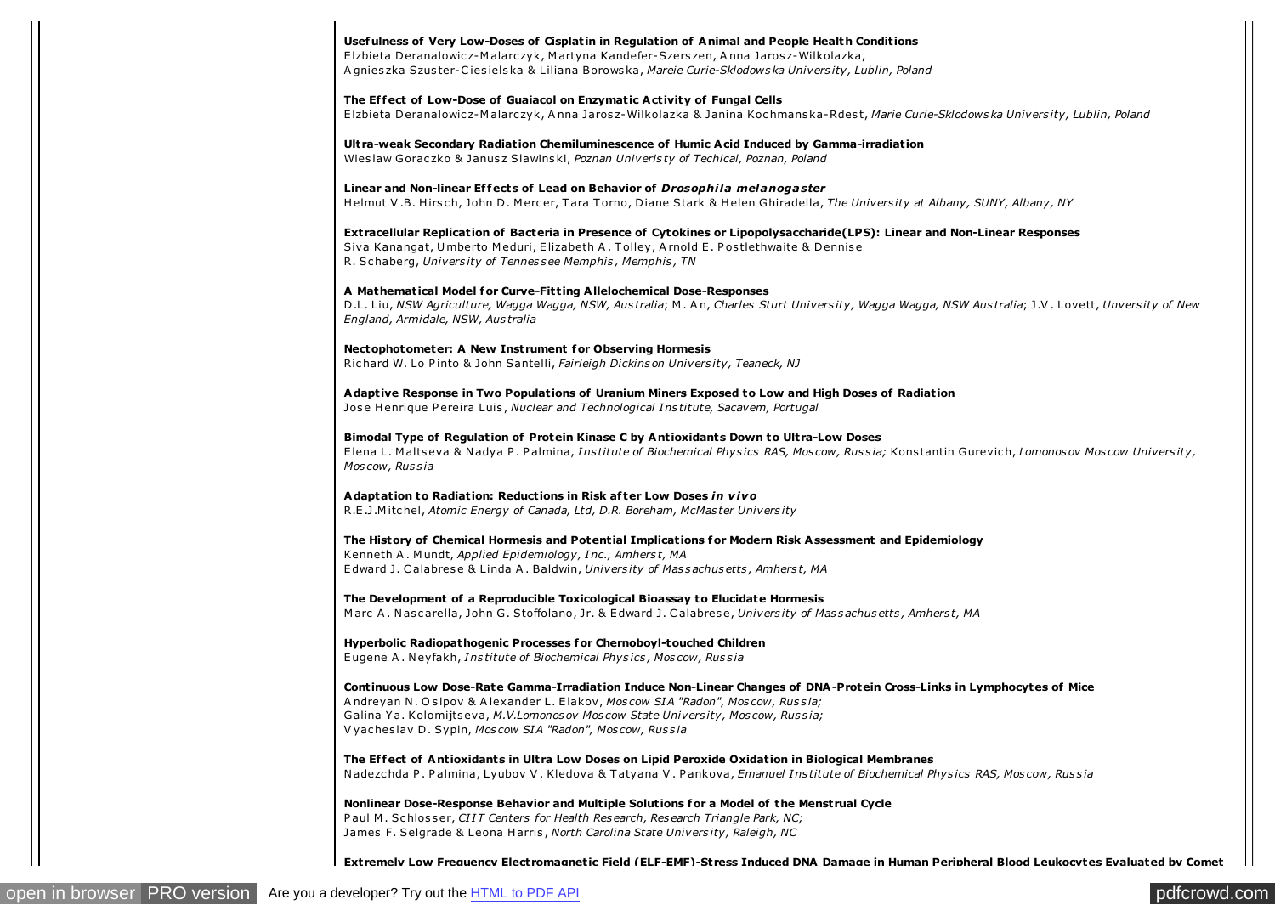## Usefulness of Very Low-Doses of Cisplatin in Regulation of Animal and People Health Conditions

Elzbieta Deranalowicz-Malarczyk, Martyna Kandefer-Szerszen, Anna Jarosz-Wilkolazka, Agnieszka Szuster-Ciesielska & Liliana Borowska, Mareie Curie-Sklodowska University, Lublin, Poland

The Effect of Low-Dose of Guaiacol on Enzymatic Activity of Fungal Cells Elzbieta Deranalowicz-Malarczyk, Anna Jarosz-Wilkolazka & Janina Kochmanska-Rdest, Marie Curie-Sklodowska University, Lublin, Poland

Ultra-weak Secondary Radiation Chemiluminescence of Humic Acid Induced by Gamma-irradiation Wieslaw Goraczko & Janusz Slawinski, Poznan Univeristy of Techical, Poznan, Poland

Linear and Non-linear Effects of Lead on Behavior of Drosophila melanogaster Helmut V.B. Hirsch, John D. Mercer, Tara Torno, Diane Stark & Helen Ghiradella, The University at Albany, SUNY, Albany, NY

Extracellular Replication of Bacteria in Presence of Cytokines or Lipopolysaccharide(LPS): Linear and Non-Linear Responses Siva Kanangat, Umberto Meduri, Elizabeth A. Tolley, Arnold E. Postlethwaite & Dennise R. Schaberg, University of Tennessee Memphis, Memphis, TN

## A Mathematical Model for Curve-Fitting Allelochemical Dose-Responses

D.L. Liu, NSW Agriculture, Wagga Wagga, NSW, Australia; M. An, Charles Sturt University, Wagga Wagga, NSW Australia; J.V. Lovett, Unversity of New England, Armidale, NSW, Australia

Nectophotometer: A New Instrument for Observing Hormesis Richard W. Lo Pinto & John Santelli, Fairleigh Dickinson University, Teaneck, NJ

Adaptive Response in Two Populations of Uranium Miners Exposed to Low and High Doses of Radiation Jose Henrique Pereira Luis, Nuclear and Technological Institute, Sacavem, Portugal

Bimodal Type of Regulation of Protein Kinase C by Antioxidants Down to Ultra-Low Doses Elena L. Maltseva & Nadya P. Palmina, Institute of Biochemical Physics RAS, Moscow, Russia; Konstantin Gurevich, Lomonosov Moscow University, Moscow, Russia

Adaptation to Radiation: Reductions in Risk after Low Doses in vivo R.E.J.Mitchel, Atomic Energy of Canada, Ltd, D.R. Boreham, McMaster University

The History of Chemical Hormesis and Potential Implications for Modern Risk Assessment and Epidemiology Kenneth A. Mundt, Applied Epidemiology, Inc., Amherst, MA Edward J. Calabrese & Linda A. Baldwin, University of Massachusetts, Amherst, MA

The Development of a Reproducible Toxicological Bioassay to Elucidate Hormesis Marc A. Nascarella, John G. Stoffolano, Jr. & Edward J. Calabrese, University of Massachusetts, Amherst, MA

Hyperbolic Radiopathogenic Processes for Chernoboyl-touched Children Eugene A. Neyfakh, Institute of Biochemical Physics, Moscow, Russia

Continuous Low Dose-Rate Gamma-Irradiation Induce Non-Linear Changes of DNA-Protein Cross-Links in Lymphocytes of Mice Andreyan N. Osipov & Alexander L. Elakov, Moscow SIA "Radon", Moscow, Russia; Galina Ya. Kolomijtseva, M.V.Lomonosov Moscow State University, Moscow, Russia; Vyacheslav D. Sypin, Moscow SIA "Radon", Moscow, Russia

The Effect of Antioxidants in Ultra Low Doses on Lipid Peroxide Oxidation in Biological Membranes Nadezchda P. Palmina, Lyubov V. Kledova & Tatyana V. Pankova, Emanuel Institute of Biochemical Physics RAS, Moscow, Russia

Nonlinear Dose-Response Behavior and Multiple Solutions for a Model of the Menstrual Cycle Paul M. Schlosser, CIIT Centers for Health Research, Research Triangle Park, NC; James F. Selgrade & Leona Harris, North Carolina State University, Raleigh, NC

Extremely Low Frequency Electromagnetic Field (ELF-EMF)-Stress Induced DNA Damage in Human Peripheral Blood Leukocytes Evaluated by Comet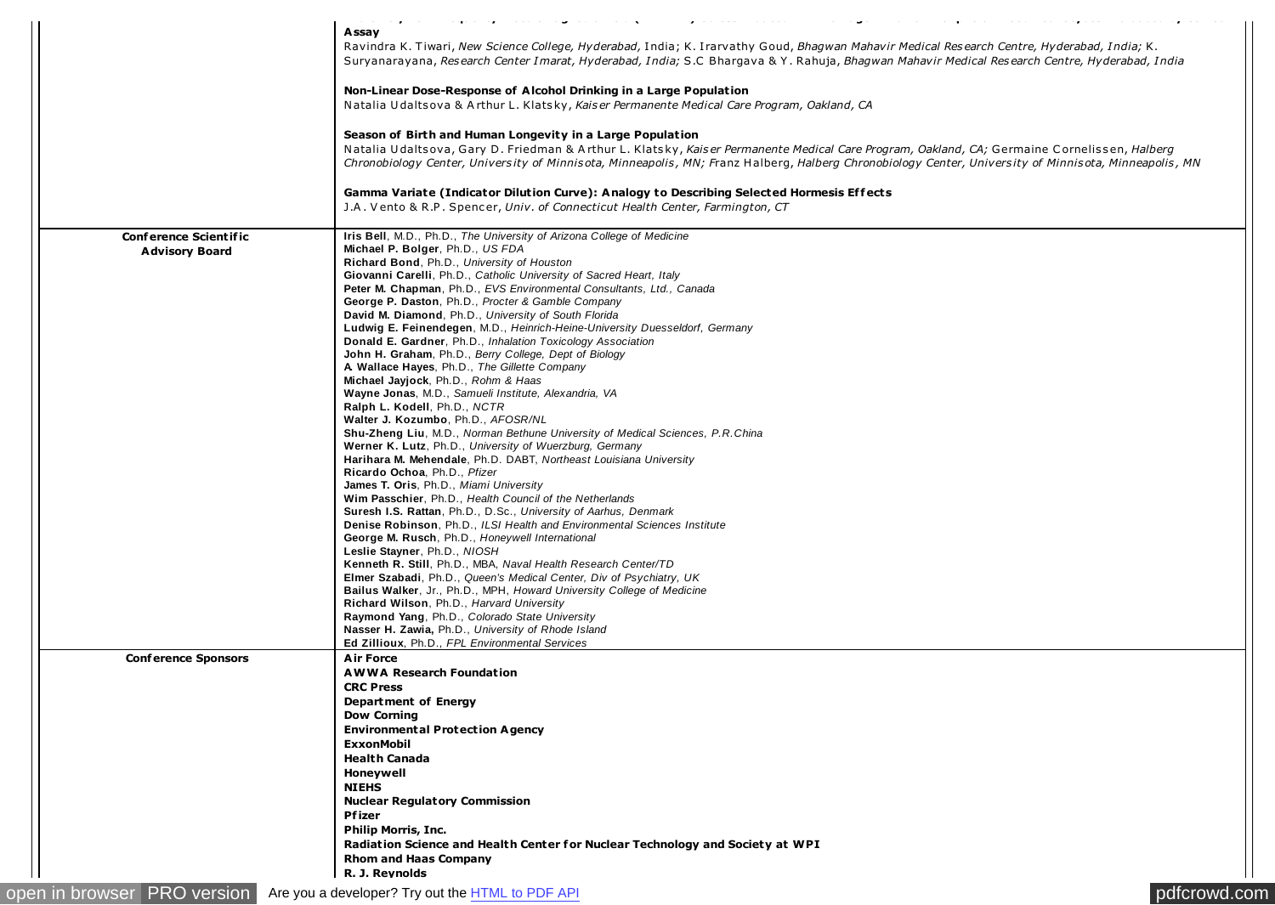| الواقعا المنتجان والمنافذة الوجاج وجواد والمناورة المنافية<br>$\mathbf{z}$ , and a set of the set of the set of $\mathbf{z}$<br>المتاريك وبالمتمادين المتدودة بكاريمية المنادر والمنابع المرابين المنافق<br>and a state<br>A ssay |
|-----------------------------------------------------------------------------------------------------------------------------------------------------------------------------------------------------------------------------------|
| Ravindra K. Tiwari, New Science College, Hyderabad, India; K. Irarvathy Goud, Bhagwan Mahavir Medical Research Centre, Hyderabad, India; K.                                                                                       |
| Suryanarayana, Research Center Imarat, Hyderabad, India; S.C. Bhargaya & Y. Rahuja, Bhagwan Mahavir Medical Research Centre, Hyderabad, India                                                                                     |
| Non-Linear Dose-Response of Alcohol Drinking in a Large Population                                                                                                                                                                |
| Natalia Udaltsova & Arthur L. Klatsky, Kaiser Permanente Medical Care Program, Oakland, CA                                                                                                                                        |
| Season of Birth and Human Longevity in a Large Population                                                                                                                                                                         |
| Natalia Udaltsova, Gary D. Friedman & Arthur L. Klatsky, Kaiser Permanente Medical Care Program, Oakland, CA; Germaine Cornelissen, Halberg                                                                                       |
| Chronobiology Center, University of Minnisota, Minneapolis, MN; Franz Halberg, Halberg Chronobiology Center, University of Minnisota, Minneapolis, MN                                                                             |
| Gamma Variate (Indicator Dilution Curve): Analogy to Describing Selected Hormesis Effects                                                                                                                                         |
| J.A. Vento & R.P. Spencer, Univ. of Connecticut Health Center, Farmington, CT                                                                                                                                                     |
| Iris Bell, M.D., Ph.D., The University of Arizona College of Medicine                                                                                                                                                             |
| Michael P. Bolger, Ph.D., US FDA                                                                                                                                                                                                  |
| Richard Bond, Ph.D., University of Houston                                                                                                                                                                                        |
| Giovanni Carelli, Ph.D., Catholic University of Sacred Heart, Italy                                                                                                                                                               |
| Peter M. Chapman, Ph.D., EVS Environmental Consultants, Ltd., Canada                                                                                                                                                              |
| George P. Daston, Ph.D., Procter & Gamble Company                                                                                                                                                                                 |
| David M. Diamond, Ph.D., University of South Florida                                                                                                                                                                              |
| Ludwig E. Feinendegen, M.D., Heinrich-Heine-University Duesseldorf, Germany                                                                                                                                                       |
| Donald E. Gardner, Ph.D., Inhalation Toxicology Association<br><b>John H. Graham</b> , Ph.D., Berry College, Dept of Biology                                                                                                      |
| A Wallace Hayes, Ph.D., The Gillette Company                                                                                                                                                                                      |
| Michael Jayjock, Ph.D., Rohm & Haas                                                                                                                                                                                               |
| Wayne Jonas, M.D., Samueli Institute, Alexandria, VA                                                                                                                                                                              |
| Ralph L. Kodell, Ph.D., NCTR                                                                                                                                                                                                      |
| Walter J. Kozumbo, Ph.D., AFOSR/NL                                                                                                                                                                                                |
| Shu-Zheng Liu, M.D., Norman Bethune University of Medical Sciences, P.R.China                                                                                                                                                     |
| Werner K. Lutz, Ph.D., University of Wuerzburg, Germany                                                                                                                                                                           |
| Harihara M. Mehendale, Ph.D. DABT, Northeast Louisiana University                                                                                                                                                                 |
| Ricardo Ochoa, Ph.D., Pfizer                                                                                                                                                                                                      |
| <b>James T. Oris, Ph.D., Miami University</b>                                                                                                                                                                                     |
| Wim Passchier, Ph.D., Health Council of the Netherlands                                                                                                                                                                           |
| <b>Suresh I.S. Rattan, Ph.D., D.Sc., University of Aarhus, Denmark</b>                                                                                                                                                            |
| Denise Robinson, Ph.D., ILSI Health and Environmental Sciences Institute                                                                                                                                                          |
| George M. Rusch, Ph.D., Honeywell International                                                                                                                                                                                   |
| Leslie Stayner, Ph.D., NIOSH                                                                                                                                                                                                      |
| Kenneth R. Still, Ph.D., MBA, Naval Health Research Center/TD                                                                                                                                                                     |
| Elmer Szabadi, Ph.D., Queen's Medical Center, Div of Psychiatry, UK<br>Bailus Walker, Jr., Ph.D., MPH, Howard University College of Medicine                                                                                      |
| Richard Wilson, Ph.D., Harvard University                                                                                                                                                                                         |
| Raymond Yang, Ph.D., Colorado State University                                                                                                                                                                                    |
| Nasser H. Zawia, Ph.D., University of Rhode Island                                                                                                                                                                                |
| Ed Zillioux, Ph.D., FPL Environmental Services                                                                                                                                                                                    |
| <b>Air Force</b>                                                                                                                                                                                                                  |
| <b>AWWA Research Foundation</b>                                                                                                                                                                                                   |
| <b>CRC Press</b>                                                                                                                                                                                                                  |
| Department of Energy                                                                                                                                                                                                              |
| <b>Dow Corning</b>                                                                                                                                                                                                                |
| <b>Environmental Protection Agency</b>                                                                                                                                                                                            |
| <b>ExxonMobil</b>                                                                                                                                                                                                                 |
| <b>Health Canada</b>                                                                                                                                                                                                              |
| Honeywell                                                                                                                                                                                                                         |
| <b>NIEHS</b>                                                                                                                                                                                                                      |
|                                                                                                                                                                                                                                   |
|                                                                                                                                                                                                                                   |
| <b>Nuclear Regulatory Commission</b>                                                                                                                                                                                              |
| Pfizer                                                                                                                                                                                                                            |
| <b>Philip Morris, Inc.</b>                                                                                                                                                                                                        |
| Radiation Science and Health Center for Nuclear Technology and Society at WPI<br><b>Rhom and Haas Company</b>                                                                                                                     |
|                                                                                                                                                                                                                                   |